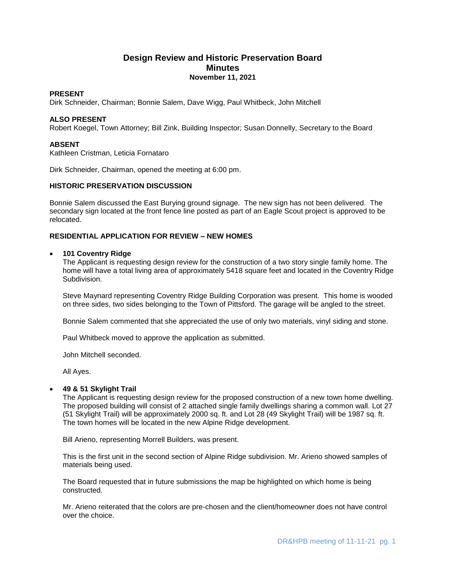# **Design Review and Historic Preservation Board Minutes November 11, 2021**

### **PRESENT**

Dirk Schneider, Chairman; Bonnie Salem, Dave Wigg, Paul Whitbeck, John Mitchell

### **ALSO PRESENT**

Robert Koegel, Town Attorney; Bill Zink, Building Inspector; Susan Donnelly, Secretary to the Board

## **ABSENT**

Kathleen Cristman, Leticia Fornataro

Dirk Schneider, Chairman, opened the meeting at 6:00 pm.

## **HISTORIC PRESERVATION DISCUSSION**

Bonnie Salem discussed the East Burying ground signage. The new sign has not been delivered. The secondary sign located at the front fence line posted as part of an Eagle Scout project is approved to be relocated.

## **RESIDENTIAL APPLICATION FOR REVIEW – NEW HOMES**

### **101 Coventry Ridge**

The Applicant is requesting design review for the construction of a two story single family home. The home will have a total living area of approximately 5418 square feet and located in the Coventry Ridge Subdivision.

Steve Maynard representing Coventry Ridge Building Corporation was present. This home is wooded on three sides, two sides belonging to the Town of Pittsford. The garage will be angled to the street.

Bonnie Salem commented that she appreciated the use of only two materials, vinyl siding and stone.

Paul Whitbeck moved to approve the application as submitted.

John Mitchell seconded.

All Ayes.

### **49 & 51 Skylight Trail**

The Applicant is requesting design review for the proposed construction of a new town home dwelling. The proposed building will consist of 2 attached single family dwellings sharing a common wall. Lot 27 (51 Skylight Trail) will be approximately 2000 sq. ft. and Lot 28 (49 Skylight Trail) will be 1987 sq. ft. The town homes will be located in the new Alpine Ridge development.

Bill Arieno, representing Morrell Builders, was present.

This is the first unit in the second section of Alpine Ridge subdivision. Mr. Arieno showed samples of materials being used.

The Board requested that in future submissions the map be highlighted on which home is being constructed.

Mr. Arieno reiterated that the colors are pre-chosen and the client/homeowner does not have control over the choice.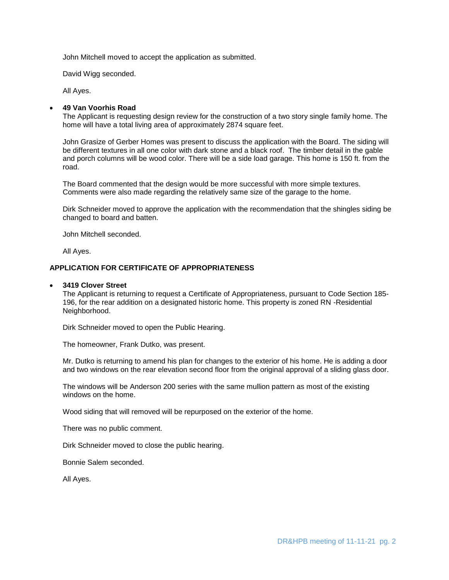John Mitchell moved to accept the application as submitted.

David Wigg seconded.

All Ayes.

### **49 Van Voorhis Road**

The Applicant is requesting design review for the construction of a two story single family home. The home will have a total living area of approximately 2874 square feet.

John Grasize of Gerber Homes was present to discuss the application with the Board. The siding will be different textures in all one color with dark stone and a black roof. The timber detail in the gable and porch columns will be wood color. There will be a side load garage. This home is 150 ft. from the road.

The Board commented that the design would be more successful with more simple textures. Comments were also made regarding the relatively same size of the garage to the home.

Dirk Schneider moved to approve the application with the recommendation that the shingles siding be changed to board and batten.

John Mitchell seconded.

All Ayes.

## **APPLICATION FOR CERTIFICATE OF APPROPRIATENESS**

#### **3419 Clover Street**

The Applicant is returning to request a Certificate of Appropriateness, pursuant to Code Section 185- 196, for the rear addition on a designated historic home. This property is zoned RN -Residential Neighborhood.

Dirk Schneider moved to open the Public Hearing.

The homeowner, Frank Dutko, was present.

Mr. Dutko is returning to amend his plan for changes to the exterior of his home. He is adding a door and two windows on the rear elevation second floor from the original approval of a sliding glass door.

The windows will be Anderson 200 series with the same mullion pattern as most of the existing windows on the home.

Wood siding that will removed will be repurposed on the exterior of the home.

There was no public comment.

Dirk Schneider moved to close the public hearing.

Bonnie Salem seconded.

All Ayes.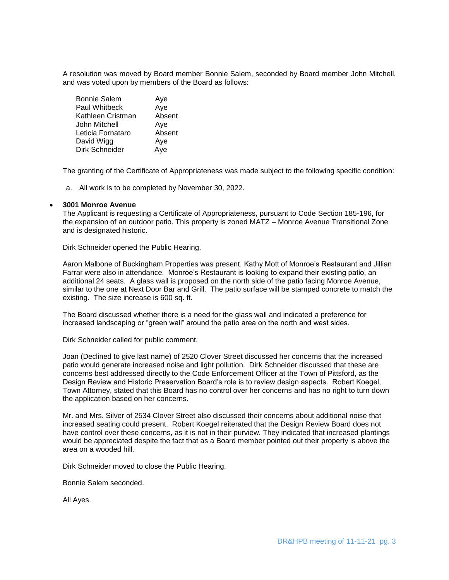A resolution was moved by Board member Bonnie Salem, seconded by Board member John Mitchell, and was voted upon by members of the Board as follows:

| Bonnie Salem      | Aye    |
|-------------------|--------|
| Paul Whitbeck     | Aye    |
| Kathleen Cristman | Absent |
| John Mitchell     | Ave    |
| Leticia Fornataro | Absent |
| David Wigg        | Aye    |
| Dirk Schneider    | Aye    |

The granting of the Certificate of Appropriateness was made subject to the following specific condition:

a. All work is to be completed by November 30, 2022.

#### **3001 Monroe Avenue**

The Applicant is requesting a Certificate of Appropriateness, pursuant to Code Section 185-196, for the expansion of an outdoor patio. This property is zoned MATZ – Monroe Avenue Transitional Zone and is designated historic.

Dirk Schneider opened the Public Hearing.

Aaron Malbone of Buckingham Properties was present. Kathy Mott of Monroe's Restaurant and Jillian Farrar were also in attendance. Monroe's Restaurant is looking to expand their existing patio, an additional 24 seats. A glass wall is proposed on the north side of the patio facing Monroe Avenue, similar to the one at Next Door Bar and Grill. The patio surface will be stamped concrete to match the existing. The size increase is 600 sq. ft.

The Board discussed whether there is a need for the glass wall and indicated a preference for increased landscaping or "green wall" around the patio area on the north and west sides.

Dirk Schneider called for public comment.

Joan (Declined to give last name) of 2520 Clover Street discussed her concerns that the increased patio would generate increased noise and light pollution. Dirk Schneider discussed that these are concerns best addressed directly to the Code Enforcement Officer at the Town of Pittsford, as the Design Review and Historic Preservation Board's role is to review design aspects. Robert Koegel, Town Attorney, stated that this Board has no control over her concerns and has no right to turn down the application based on her concerns.

Mr. and Mrs. Silver of 2534 Clover Street also discussed their concerns about additional noise that increased seating could present. Robert Koegel reiterated that the Design Review Board does not have control over these concerns, as it is not in their purview. They indicated that increased plantings would be appreciated despite the fact that as a Board member pointed out their property is above the area on a wooded hill.

Dirk Schneider moved to close the Public Hearing.

Bonnie Salem seconded.

All Ayes.